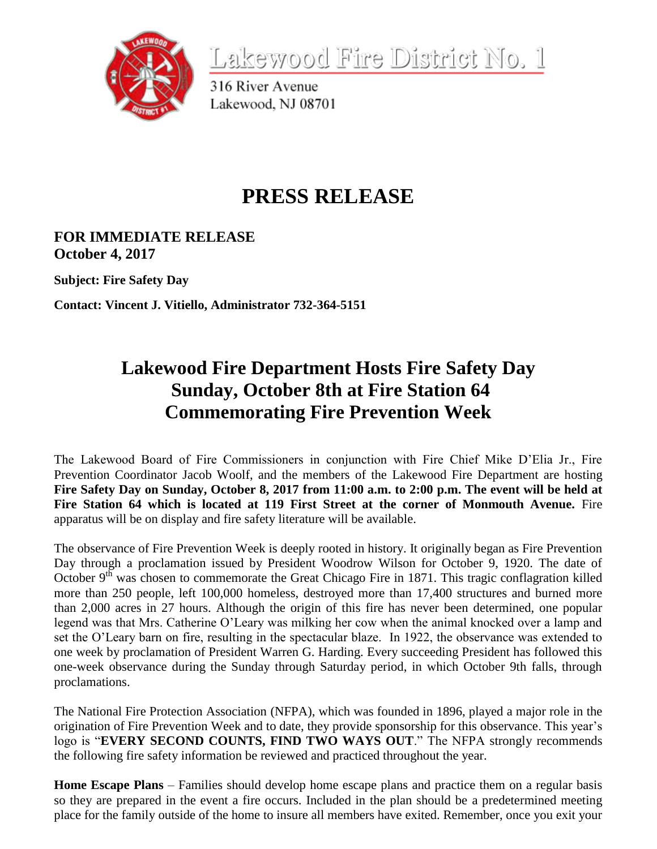

<u>Lakewood Fire District No. 1</u>

316 River Avenue Lakewood, NJ 08701

# **PRESS RELEASE**

### **FOR IMMEDIATE RELEASE October 4, 2017**

**Subject: Fire Safety Day**

**Contact: Vincent J. Vitiello, Administrator 732-364-5151**

## **Lakewood Fire Department Hosts Fire Safety Day Sunday, October 8th at Fire Station 64 Commemorating Fire Prevention Week**

The Lakewood Board of Fire Commissioners in conjunction with Fire Chief Mike D'Elia Jr., Fire Prevention Coordinator Jacob Woolf, and the members of the Lakewood Fire Department are hosting **Fire Safety Day on Sunday, October 8, 2017 from 11:00 a.m. to 2:00 p.m. The event will be held at Fire Station 64 which is located at 119 First Street at the corner of Monmouth Avenue.** Fire apparatus will be on display and fire safety literature will be available.

The observance of Fire Prevention Week is deeply rooted in history. It originally began as Fire Prevention Day through a proclamation issued by President Woodrow Wilson for October 9, 1920. The date of October  $9<sup>th</sup>$  was chosen to commemorate the Great Chicago Fire in 1871. This tragic conflagration killed more than 250 people, left 100,000 homeless, destroyed more than 17,400 structures and burned more than 2,000 acres in 27 hours. Although the origin of this fire has never been determined, one popular legend was that Mrs. Catherine O'Leary was milking her cow when the animal knocked over a lamp and set the O'Leary barn on fire, resulting in the spectacular blaze. In 1922, the observance was extended to one week by proclamation of President Warren G. Harding. Every succeeding President has followed this one-week observance during the Sunday through Saturday period, in which October 9th falls, through proclamations.

The National Fire Protection Association (NFPA), which was founded in 1896, played a major role in the origination of Fire Prevention Week and to date, they provide sponsorship for this observance. This year's logo is "**EVERY SECOND COUNTS, FIND TWO WAYS OUT**." The NFPA strongly recommends the following fire safety information be reviewed and practiced throughout the year.

**Home Escape Plans** – Families should develop home escape plans and practice them on a regular basis so they are prepared in the event a fire occurs. Included in the plan should be a predetermined meeting place for the family outside of the home to insure all members have exited. Remember, once you exit your